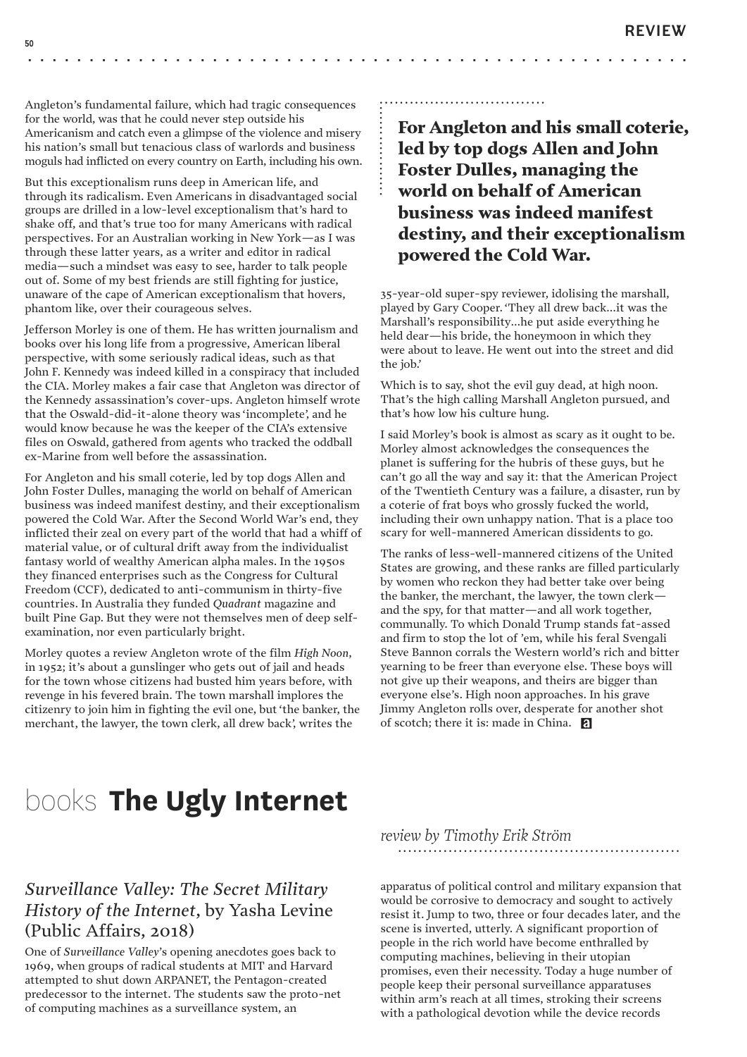•

Angleton's fundamental failure, which had tragic consequences for the world, was that he could never step outside his Americanism and catch even a glimpse of the violence and misery his nation's small but tenacious class of warlords and business moguls had inflicted on every country on Earth, including his own.

But this exceptionalism runs deep in American life, and through its radicalism. Even Americans in disadvantaged social groups are drilled in a low-level exceptionalism that's hard to shake off, and that's true too for many Americans with radical perspectives. For an Australian working in New York—as I was through these latter years, as a writer and editor in radical media—such a mindset was easy to see, harder to talk people out of. Some of my best friends are still fighting for justice, unaware of the cape of American exceptionalism that hovers, phantom like, over their courageous selves.

Jefferson Morley is one of them. He has written journalism and books over his long life from a progressive, American liberal perspective, with some seriously radical ideas, such as that John F. Kennedy was indeed killed in a conspiracy that included the CIA. Morley makes a fair case that Angleton was director of the Kennedy assassination's cover-ups. Angleton himself wrote that the Oswald-did-it-alone theory was 'incomplete', and he would know because he was the keeper of the CIA's extensive files on Oswald, gathered from agents who tracked the oddball ex-Marine from well before the assassination.

For Angleton and his small coterie, led by top dogs Allen and John Foster Dulles, managing the world on behalf of American business was indeed manifest destiny, and their exceptionalism powered the Cold War. After the Second World War's end, they inflicted their zeal on every part of the world that had a whiff of material value, or of cultural drift away from the individualist fantasy world of wealthy American alpha males. In the 1950s they financed enterprises such as the Congress for Cultural Freedom (CCF), dedicated to anti-communism in thirty-five countries. In Australia they funded *Quadrant* magazine and built Pine Gap. But they were not themselves men of deep selfexamination, nor even particularly bright.

Morley quotes a review Angleton wrote of the film *High Noon*, in 1952; it's about a gunslinger who gets out of jail and heads for the town whose citizens had busted him years before, with revenge in his fevered brain. The town marshall implores the citizenry to join him in fighting the evil one, but 'the banker, the merchant, the lawyer, the town clerk, all drew back', writes the

## For Angleton and his small coterie, led by top dogs Allen and John Foster Dulles, managing the world on behalf of American business was indeed manifest destiny, and their exceptionalism powered the Cold War. *.................. .................................*

• • • • • • • • • • • • • • • • • • •

35-year-old super-spy reviewer, idolising the marshall, played by Gary Cooper. 'They all drew back…it was the Marshall's responsibility…he put aside everything he held dear—his bride, the honeymoon in which they were about to leave. He went out into the street and did the job.'

Which is to say, shot the evil guy dead, at high noon. That's the high calling Marshall Angleton pursued, and that's how low his culture hung.

I said Morley's book is almost as scary as it ought to be. Morley almost acknowledges the consequences the planet is suffering for the hubris of these guys, but he can't go all the way and say it: that the American Project of the Twentieth Century was a failure, a disaster, run by a coterie of frat boys who grossly fucked the world, including their own unhappy nation. That is a place too scary for well-mannered American dissidents to go.

The ranks of less-well-mannered citizens of the United States are growing, and these ranks are filled particularly by women who reckon they had better take over being the banker, the merchant, the lawyer, the town clerk and the spy, for that matter—and all work together, communally. To which Donald Trump stands fat-assed and firm to stop the lot of 'em, while his feral Svengali Steve Bannon corrals the Western world's rich and bitter yearning to be freer than everyone else. These boys will not give up their weapons, and theirs are bigger than everyone else's. High noon approaches. In his grave Jimmy Angleton rolls over, desperate for another shot of scotch; there it is: made in China.

## books **The Ugly Internet**

## *Surveillance Valley: The Secret Military History of the Internet*, by Yasha Levine (Public Affairs, 2018)

One of *Surveillance Valley*'s opening anecdotes goes back to 1969, when groups of radical students at MIT and Harvard attempted to shut down ARPANET, the Pentagon-created predecessor to the internet. The students saw the proto-net of computing machines as a surveillance system, an

## *review by Timothy Erik Ström ........................................................*

apparatus of political control and military expansion that would be corrosive to democracy and sought to actively resist it. Jump to two, three or four decades later, and the scene is inverted, utterly. A significant proportion of people in the rich world have become enthralled by computing machines, believing in their utopian promises, even their necessity. Today a huge number of people keep their personal surveillance apparatuses within arm's reach at all times, stroking their screens with a pathological devotion while the device records